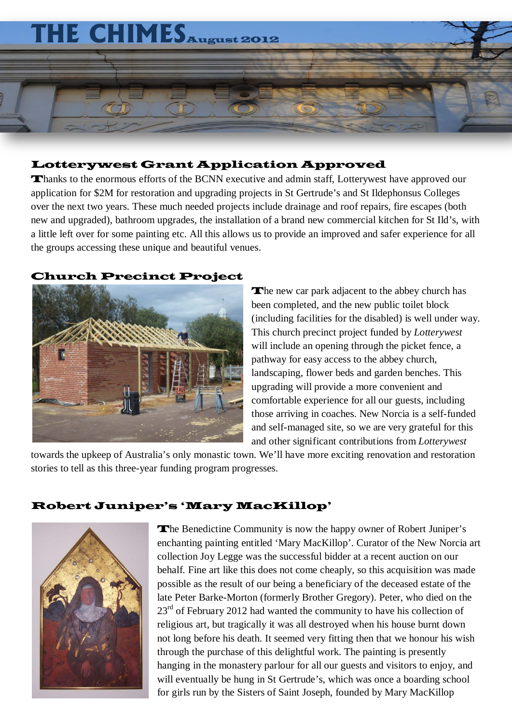

#### Lotterywest Grant Application Approved

Thanks to the enormous efforts of the BCNN executive and admin staff, Lotterywest have approved our application for \$2M for restoration and upgrading projects in St Gertrude's and St Ildephonsus Colleges over the next two years. These much needed projects include drainage and roof repairs, fire escapes (both new and upgraded), bathroom upgrades, the installation of a brand new commercial kitchen for St Ild's, with a little left over for some painting etc. All this allows us to provide an improved and safer experience for all the groups accessing these unique and beautiful venues.

#### Church Precinct Project



The new car park adjacent to the abbey church has been completed, and the new public toilet block (including facilities for the disabled) is well under way. This church precinct project funded by *Lotterywest* will include an opening through the picket fence, a pathway for easy access to the abbey church, landscaping, flower beds and garden benches. This upgrading will provide a more convenient and comfortable experience for all our guests, including those arriving in coaches. New Norcia is a self-funded and self-managed site, so we are very grateful for this and other significant contributions from *Lotterywest*

towards the upkeep of Australia's only monastic town. We'll have more exciting renovation and restoration stories to tell as this three-year funding program progresses.

#### Robert Juniper's 'Mary MacKillop'



The Benedictine Community is now the happy owner of Robert Juniper's enchanting painting entitled 'Mary MacKillop'. Curator of the New Norcia art collection Joy Legge was the successful bidder at a recent auction on our behalf. Fine art like this does not come cheaply, so this acquisition was made possible as the result of our being a beneficiary of the deceased estate of the late Peter Barke-Morton (formerly Brother Gregory). Peter, who died on the  $23<sup>rd</sup>$  of February 2012 had wanted the community to have his collection of religious art, but tragically it was all destroyed when his house burnt down not long before his death. It seemed very fitting then that we honour his wish through the purchase of this delightful work. The painting is presently hanging in the monastery parlour for all our guests and visitors to enjoy, and will eventually be hung in St Gertrude's, which was once a boarding school for girls run by the Sisters of Saint Joseph, founded by Mary MacKillop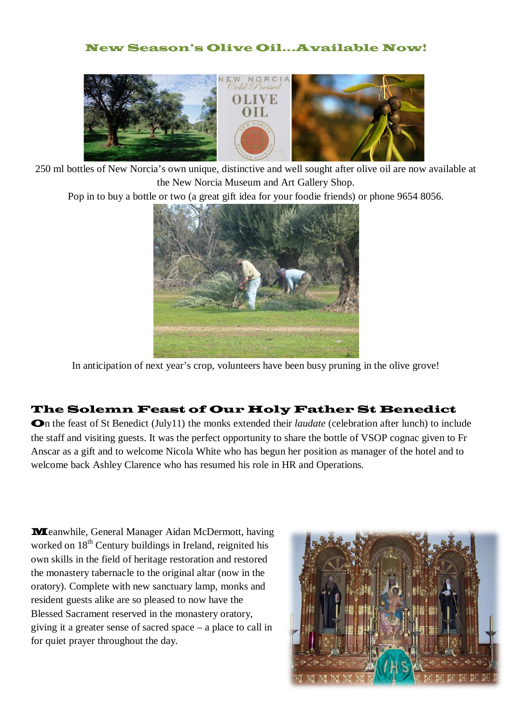#### New Season's Olive Oil...Available Now!



250 ml bottles of New Norcia's own unique, distinctive and well sought after olive oil are now available at the New Norcia Museum and Art Gallery Shop.

Pop in to buy a bottle or two (a great gift idea for your foodie friends) or phone 9654 8056.



In anticipation of next year's crop, volunteers have been busy pruning in the olive grove!

### The Solemn Feast of Our Holy Father St Benedict

On the feast of St Benedict (July11) the monks extended their *laudate* (celebration after lunch) to include the staff and visiting guests. It was the perfect opportunity to share the bottle of VSOP cognac given to Fr Anscar as a gift and to welcome Nicola White who has begun her position as manager of the hotel and to welcome back Ashley Clarence who has resumed his role in HR and Operations.

Meanwhile, General Manager Aidan McDermott, having worked on 18<sup>th</sup> Century buildings in Ireland, reignited his own skills in the field of heritage restoration and restored the monastery tabernacle to the original altar (now in the oratory). Complete with new sanctuary lamp, monks and resident guests alike are so pleased to now have the Blessed Sacrament reserved in the monastery oratory, giving it a greater sense of sacred space – a place to call in for quiet prayer throughout the day.

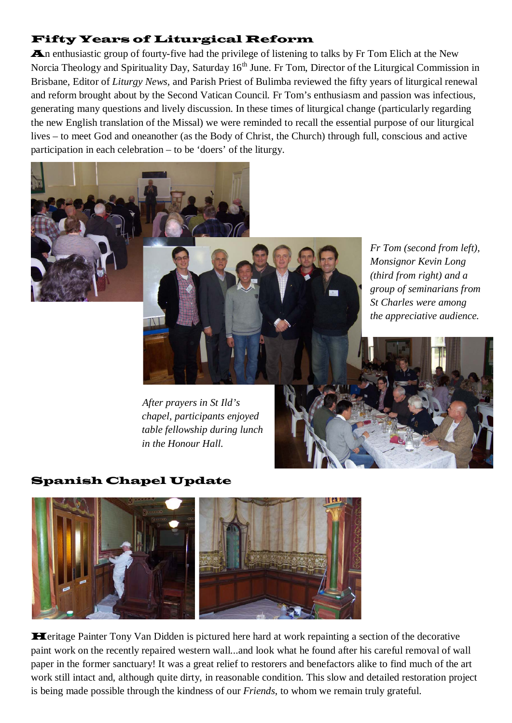## Fifty Years of Liturgical Reform

An enthusiastic group of fourty-five had the privilege of listening to talks by Fr Tom Elich at the New Norcia Theology and Spirituality Day, Saturday 16<sup>th</sup> June. Fr Tom, Director of the Liturgical Commission in Brisbane, Editor of *Liturgy News,* and Parish Priest of Bulimba reviewed the fifty years of liturgical renewal and reform brought about by the Second Vatican Council. Fr Tom's enthusiasm and passion was infectious, generating many questions and lively discussion. In these times of liturgical change (particularly regarding the new English translation of the Missal) we were reminded to recall the essential purpose of our liturgical lives – to meet God and oneanother (as the Body of Christ, the Church) through full, conscious and active participation in each celebration – to be 'doers' of the liturgy.



 *After prayers in St Ild's chapel, participants enjoyed table fellowship during lunch in the Honour Hall.* 

Spanish Chapel Update



Heritage Painter Tony Van Didden is pictured here hard at work repainting a section of the decorative paint work on the recently repaired western wall...and look what he found after his careful removal of wall paper in the former sanctuary! It was a great relief to restorers and benefactors alike to find much of the art work still intact and, although quite dirty, in reasonable condition. This slow and detailed restoration project is being made possible through the kindness of our *Friends*, to whom we remain truly grateful.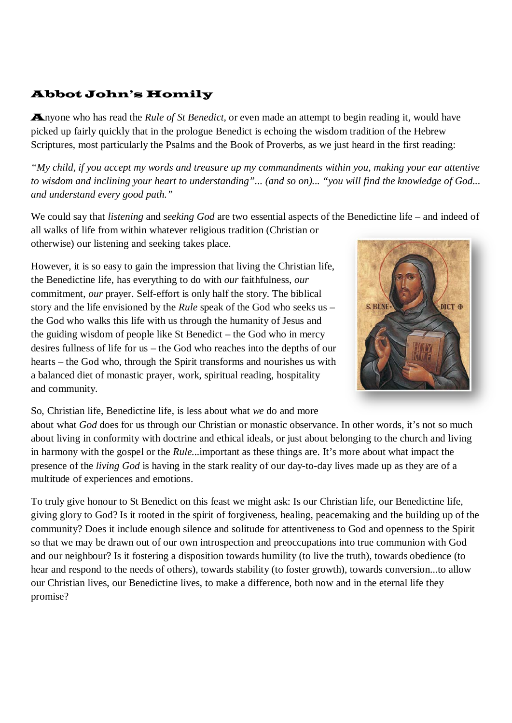# Abbot John's Homily

Anyone who has read the *Rule of St Benedict,* or even made an attempt to begin reading it, would have picked up fairly quickly that in the prologue Benedict is echoing the wisdom tradition of the Hebrew Scriptures, most particularly the Psalms and the Book of Proverbs, as we just heard in the first reading:

*"My child, if you accept my words and treasure up my commandments within you, making your ear attentive to wisdom and inclining your heart to understanding"... (and so on)... "you will find the knowledge of God... and understand every good path."*

We could say that *listening* and *seeking God* are two essential aspects of the Benedictine life – and indeed of all walks of life from within whatever religious tradition (Christian or otherwise) our listening and seeking takes place.

However, it is so easy to gain the impression that living the Christian life, the Benedictine life, has everything to do with *our* faithfulness, *our* commitment, *our* prayer. Self-effort is only half the story. The biblical story and the life envisioned by the *Rule* speak of the God who seeks us – the God who walks this life with us through the humanity of Jesus and the guiding wisdom of people like St Benedict – the God who in mercy desires fullness of life for us – the God who reaches into the depths of our hearts – the God who, through the Spirit transforms and nourishes us with a balanced diet of monastic prayer, work, spiritual reading, hospitality and community.



So, Christian life, Benedictine life, is less about what *we* do and more

about what *God* does for us through our Christian or monastic observance. In other words, it's not so much about living in conformity with doctrine and ethical ideals, or just about belonging to the church and living in harmony with the gospel or the *Rule*...important as these things are. It's more about what impact the presence of the *living God* is having in the stark reality of our day-to-day lives made up as they are of a multitude of experiences and emotions.

To truly give honour to St Benedict on this feast we might ask: Is our Christian life, our Benedictine life, giving glory to God? Is it rooted in the spirit of forgiveness, healing, peacemaking and the building up of the community? Does it include enough silence and solitude for attentiveness to God and openness to the Spirit so that we may be drawn out of our own introspection and preoccupations into true communion with God and our neighbour? Is it fostering a disposition towards humility (to live the truth), towards obedience (to hear and respond to the needs of others), towards stability (to foster growth), towards conversion...to allow our Christian lives, our Benedictine lives, to make a difference, both now and in the eternal life they promise?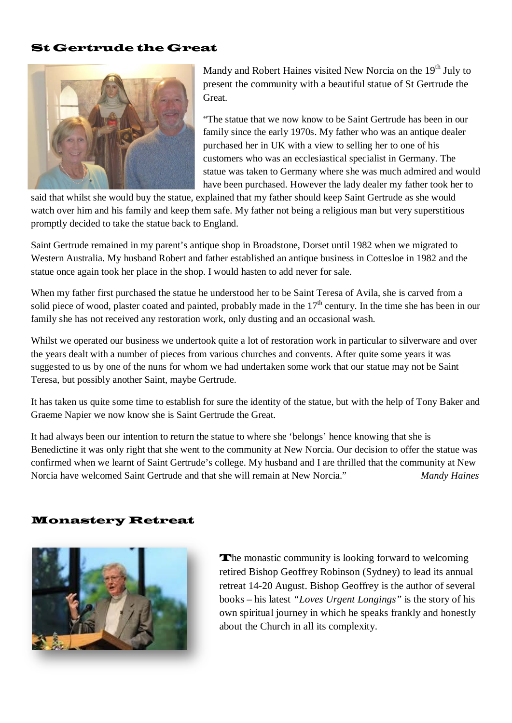#### St Gertrude the Great



Mandy and Robert Haines visited New Norcia on the  $19<sup>th</sup>$  July to present the community with a beautiful statue of St Gertrude the Great.

"The statue that we now know to be Saint Gertrude has been in our family since the early 1970s. My father who was an antique dealer purchased her in UK with a view to selling her to one of his customers who was an ecclesiastical specialist in Germany. The statue was taken to Germany where she was much admired and would have been purchased. However the lady dealer my father took her to

said that whilst she would buy the statue, explained that my father should keep Saint Gertrude as she would watch over him and his family and keep them safe. My father not being a religious man but very superstitious promptly decided to take the statue back to England.

Saint Gertrude remained in my parent's antique shop in Broadstone, Dorset until 1982 when we migrated to Western Australia. My husband Robert and father established an antique business in Cottesloe in 1982 and the statue once again took her place in the shop. I would hasten to add never for sale.

When my father first purchased the statue he understood her to be Saint Teresa of Avila, she is carved from a solid piece of wood, plaster coated and painted, probably made in the  $17<sup>th</sup>$  century. In the time she has been in our family she has not received any restoration work, only dusting and an occasional wash.

Whilst we operated our business we undertook quite a lot of restoration work in particular to silverware and over the years dealt with a number of pieces from various churches and convents. After quite some years it was suggested to us by one of the nuns for whom we had undertaken some work that our statue may not be Saint Teresa, but possibly another Saint, maybe Gertrude.

It has taken us quite some time to establish for sure the identity of the statue, but with the help of Tony Baker and Graeme Napier we now know she is Saint Gertrude the Great.

It had always been our intention to return the statue to where she 'belongs' hence knowing that she is Benedictine it was only right that she went to the community at New Norcia. Our decision to offer the statue was confirmed when we learnt of Saint Gertrude's college. My husband and I are thrilled that the community at New Norcia have welcomed Saint Gertrude and that she will remain at New Norcia." *Mandy Haines*

#### Monastery Retreat



The monastic community is looking forward to welcoming retired Bishop Geoffrey Robinson (Sydney) to lead its annual retreat 14-20 August. Bishop Geoffrey is the author of several books – his latest *"Loves Urgent Longings"* is the story of his own spiritual journey in which he speaks frankly and honestly about the Church in all its complexity.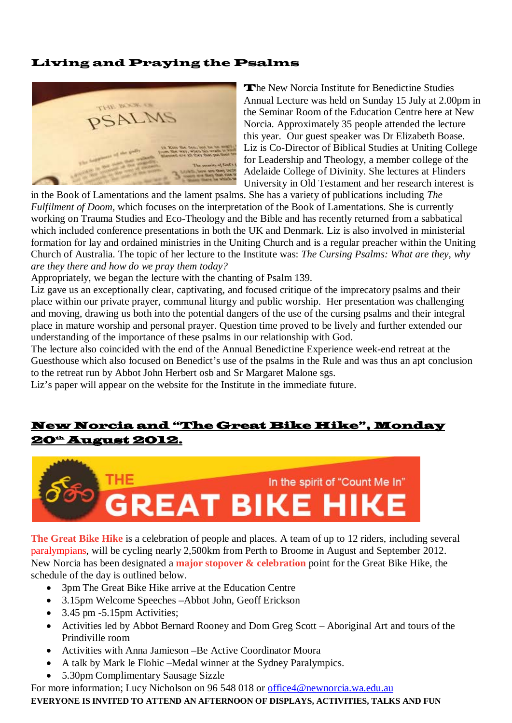## Living and Praying the Psalms



The New Norcia Institute for Benedictine Studies Annual Lecture was held on Sunday 15 July at 2.00pm in the Seminar Room of the Education Centre here at New Norcia. Approximately 35 people attended the lecture this year. Our guest speaker was Dr Elizabeth Boase. Liz is Co-Director of Biblical Studies at Uniting College for Leadership and Theology, a member college of the Adelaide College of Divinity. She lectures at Flinders University in Old Testament and her research interest is

in the Book of Lamentations and the lament psalms. She has a variety of publications including *The Fulfilment of Doom,* which focuses on the interpretation of the Book of Lamentations. She is currently working on Trauma Studies and Eco-Theology and the Bible and has recently returned from a sabbatical which included conference presentations in both the UK and Denmark. Liz is also involved in ministerial formation for lay and ordained ministries in the Uniting Church and is a regular preacher within the Uniting Church of Australia. The topic of her lecture to the Institute was: *The Cursing Psalms: What are they, why are they there and how do we pray them today?*

Appropriately, we began the lecture with the chanting of Psalm 139.

Liz gave us an exceptionally clear, captivating, and focused critique of the imprecatory psalms and their place within our private prayer, communal liturgy and public worship. Her presentation was challenging and moving, drawing us both into the potential dangers of the use of the cursing psalms and their integral place in mature worship and personal prayer. Question time proved to be lively and further extended our understanding of the importance of these psalms in our relationship with God.

The lecture also coincided with the end of the Annual Benedictine Experience week-end retreat at the Guesthouse which also focused on Benedict's use of the psalms in the Rule and was thus an apt conclusion to the retreat run by Abbot John Herbert osb and Sr Margaret Malone sgs.

Liz's paper will appear on the website for the Institute in the immediate future.

## New Norcia and "The Great Bike Hike", Monday **20<sup>th</sup> August 2012.**



**The Great Bike Hike** is a celebration of people and places. A team of up to [12 riders,](http://greatbikehike.org.au/about-the-hike/the-riders/) including several paralympians, will be cycling nearly [2,500km from Perth to Broome](http://greatbikehike.org.au/about-the-hike/the-route/) in August and September 2012. New Norcia has been designated a **major stopover & celebration** point for the Great Bike Hike, the schedule of the day is outlined below.

- 3pm The Great Bike Hike arrive at the Education Centre
- 3.15pm Welcome Speeches –Abbot John, Geoff Erickson
- 3.45 pm -5.15pm Activities;
- Activities led by Abbot Bernard Rooney and Dom Greg Scott Aboriginal Art and tours of the Prindiville room
- Activities with Anna Jamieson –Be Active Coordinator Moora
- A talk by Mark le Flohic –Medal winner at the Sydney Paralympics.
- 5.30pm Complimentary Sausage Sizzle

For more information; Lucy Nicholson on 96 548 018 or [office4@newnorcia.wa.edu.au](mailto:office4@newnorcia.wa.edu.au)

**EVERYONE IS INVITED TO ATTEND AN AFTERNOON OF DISPLAYS, ACTIVITIES, TALKS AND FUN**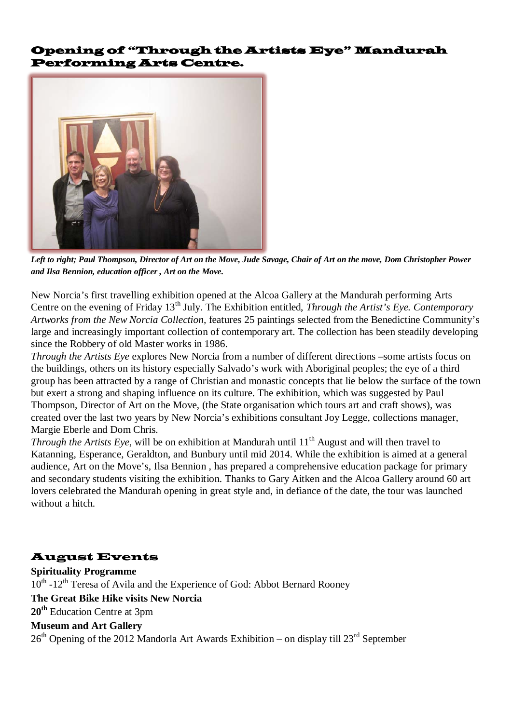#### Opening of "Through the Artists Eye" Mandurah Performing Arts Centre.



*Left to right; Paul Thompson, Director of Art on the Move, Jude Savage, Chair of Art on the move, Dom Christopher Power and Ilsa Bennion, education officer , Art on the Move.*

New Norcia's first travelling exhibition opened at the Alcoa Gallery at the Mandurah performing Arts Centre on the evening of Friday 13<sup>th</sup> July. The Exhibition entitled, *Through the Artist's Eye. Contemporary Artworks from the New Norcia Collection,* features 25 paintings selected from the Benedictine Community's large and increasingly important collection of contemporary art. The collection has been steadily developing since the Robbery of old Master works in 1986.

*Through the Artists Eye* explores New Norcia from a number of different directions –some artists focus on the buildings, others on its history especially Salvado's work with Aboriginal peoples; the eye of a third group has been attracted by a range of Christian and monastic concepts that lie below the surface of the town but exert a strong and shaping influence on its culture. The exhibition, which was suggested by Paul Thompson, Director of Art on the Move, (the State organisation which tours art and craft shows), was created over the last two years by New Norcia's exhibitions consultant Joy Legge, collections manager, Margie Eberle and Dom Chris.

*Through the Artists Eye*, will be on exhibition at Mandurah until 11<sup>th</sup> August and will then travel to Katanning, Esperance, Geraldton, and Bunbury until mid 2014. While the exhibition is aimed at a general audience, Art on the Move's, Ilsa Bennion , has prepared a comprehensive education package for primary and secondary students visiting the exhibition. Thanks to Gary Aitken and the Alcoa Gallery around 60 art lovers celebrated the Mandurah opening in great style and, in defiance of the date, the tour was launched without a hitch.

## August Events

**Spirituality Programme**  $10^{th}$  -12<sup>th</sup> Teresa of Avila and the Experience of God: Abbot Bernard Rooney **The Great Bike Hike visits New Norcia 20th** Education Centre at 3pm **Museum and Art Gallery**  $26<sup>th</sup>$  Opening of the 2012 Mandorla Art Awards Exhibition – on display till 23<sup>rd</sup> September